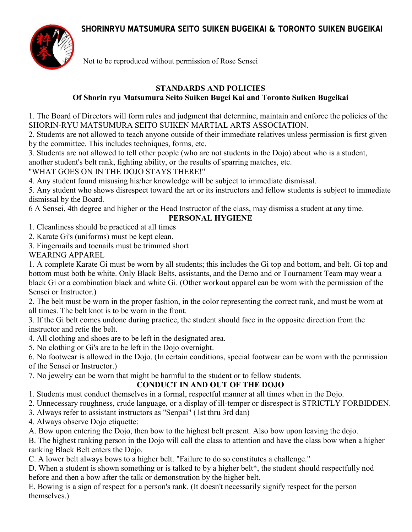# **SHORINRYU MATSUMURA SEITO SUIKEN BUGEIKAI & TORONTO SUIKEN BUGEIKAI**



Not to be reproduced without permission of Rose Sensei

#### **STANDARDS AND POLICIES Of Shorin ryu Matsumura Seito Suiken Bugei Kai and Toronto Suiken Bugeikai**

1. The Board of Directors will form rules and judgment that determine, maintain and enforce the policies of the SHORIN-RYU MATSUMURA SEITO SUIKEN MARTIAL ARTS ASSOCIATION.

2. Students are not allowed to teach anyone outside of their immediate relatives unless permission is first given by the committee. This includes techniques, forms, etc.

3. Students are not allowed to tell other people (who are not students in the Dojo) about who is a student,

another student's belt rank, fighting ability, or the results of sparring matches, etc.

"WHAT GOES ON IN THE DOJO STAYS THERE!"

4. Any student found misusing his/her knowledge will be subject to immediate dismissal.

5. Any student who shows disrespect toward the art or its instructors and fellow students is subject to immediate dismissal by the Board.

6 A Sensei, 4th degree and higher or the Head Instructor of the class, may dismiss a student at any time.

#### **PERSONAL HYGIENE**

1. Cleanliness should be practiced at all times

2. Karate Gi's (uniforms) must be kept clean.

3. Fingernails and toenails must be trimmed short

WEARING APPAREL

1. A complete Karate Gi must be worn by all students; this includes the Gi top and bottom, and belt. Gi top and bottom must both be white. Only Black Belts, assistants, and the Demo and or Tournament Team may wear a black Gi or a combination black and white Gi. (Other workout apparel can be worn with the permission of the Sensei or Instructor.)

2. The belt must be worn in the proper fashion, in the color representing the correct rank, and must be worn at all times. The belt knot is to be worn in the front.

3. If the Gi belt comes undone during practice, the student should face in the opposite direction from the instructor and retie the belt.

4. All clothing and shoes are to be left in the designated area.

5. No clothing or Gi's are to be left in the Dojo overnight.

6. No footwear is allowed in the Dojo. (In certain conditions, special footwear can be worn with the permission of the Sensei or Instructor.)

7. No jewelry can be worn that might be harmful to the student or to fellow students.

### **CONDUCT IN AND OUT OF THE DOJO**

1. Students must conduct themselves in a formal, respectful manner at all times when in the Dojo.

2. Unnecessary roughness, crude language, or a display of ill-temper or disrespect is STRICTLY FORBIDDEN.

3. Always refer to assistant instructors as "Senpai" (1st thru 3rd dan)

4. Always observe Dojo etiquette:

A. Bow upon entering the Dojo, then bow to the highest belt present. Also bow upon leaving the dojo.

B. The highest ranking person in the Dojo will call the class to attention and have the class bow when a higher ranking Black Belt enters the Dojo.

C. A lower belt always bows to a higher belt. "Failure to do so constitutes a challenge."

D. When a student is shown something or is talked to by a higher belt\*, the student should respectfully nod before and then a bow after the talk or demonstration by the higher belt.

E. Bowing is a sign of respect for a person's rank. (It doesn't necessarily signify respect for the person themselves.)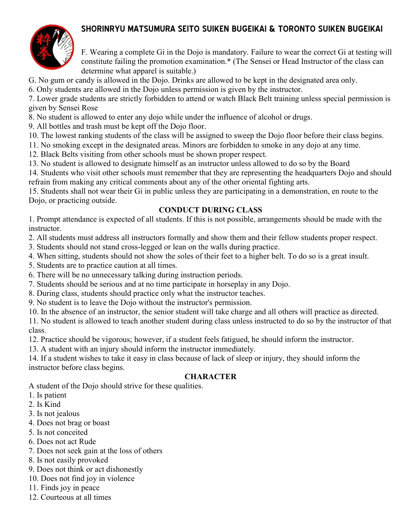## **SHORINRYU MATSUMURA SEITO SUIKEN BUGEIKAI & TORONTO SUIKEN BUGEIKAI**



F. Wearing a complete Gi in the Dojo is mandatory. Failure to wear the correct Gi at testing will constitute failing the promotion examination.\* (The Sensei or Head Instructor of the class can determine what apparel is suitable.)

G. No gum or candy is allowed in the Dojo. Drinks are allowed to be kept in the designated area only.

6. Only students are allowed in the Dojo unless permission is given by the instructor.

7. Lower grade students are strictly forbidden to attend or watch Black Belt training unless special permission is given by Sensei Rose

8. No student is allowed to enter any dojo while under the influence of alcohol or drugs.

9. All bottles and trash must be kept off the Dojo floor.

10. The lowest ranking students of the class will be assigned to sweep the Dojo floor before their class begins.

11. No smoking except in the designated areas. Minors are forbidden to smoke in any dojo at any time.

- 12. Black Belts visiting from other schools must be shown proper respect.
- 13. No student is allowed to designate himself as an instructor unless allowed to do so by the Board

14. Students who visit other schools must remember that they are representing the headquarters Dojo and should refrain from making any critical comments about any of the other oriental fighting arts.

15. Students shall not wear their Gi in public unless they are participating in a demonstration, en route to the Dojo, or practicing outside.

#### **CONDUCT DURING CLASS**

1. Prompt attendance is expected of all students. If this is not possible, arrangements should be made with the instructor.

2. All students must address all instructors formally and show them and their fellow students proper respect.

3. Students should not stand cross-legged or lean on the walls during practice.

4. When sitting, students should not show the soles of their feet to a higher belt. To do so is a great insult.

5. Students are to practice caution at all times.

6. There will be no unnecessary talking during instruction periods.

7. Students should be serious and at no time participate in horseplay in any Dojo.

8. During class, students should practice only what the instructor teaches.

9. No student is to leave the Dojo without the instructor's permission.

10. In the absence of an instructor, the senior student will take charge and all others will practice as directed.

11. No student is allowed to teach another student during class unless instructed to do so by the instructor of that class.

12. Practice should be vigorous; however, if a student feels fatigued, he should inform the instructor.

13. A student with an injury should inform the instructor immediately.

14. If a student wishes to take it easy in class because of lack of sleep or injury, they should inform the instructor before class begins.

### **CHARACTER**

A student of the Dojo should strive for these qualities.

- 1. Is patient
- 2. Is Kind
- 3. Is not jealous
- 4. Does not brag or boast
- 5. Is not conceited
- 6. Does not act Rude
- 7. Does not seek gain at the loss of others
- 8. Is not easily provoked
- 9. Does not think or act dishonestly
- 10. Does not find joy in violence
- 11. Finds joy in peace
- 12. Courteous at all times